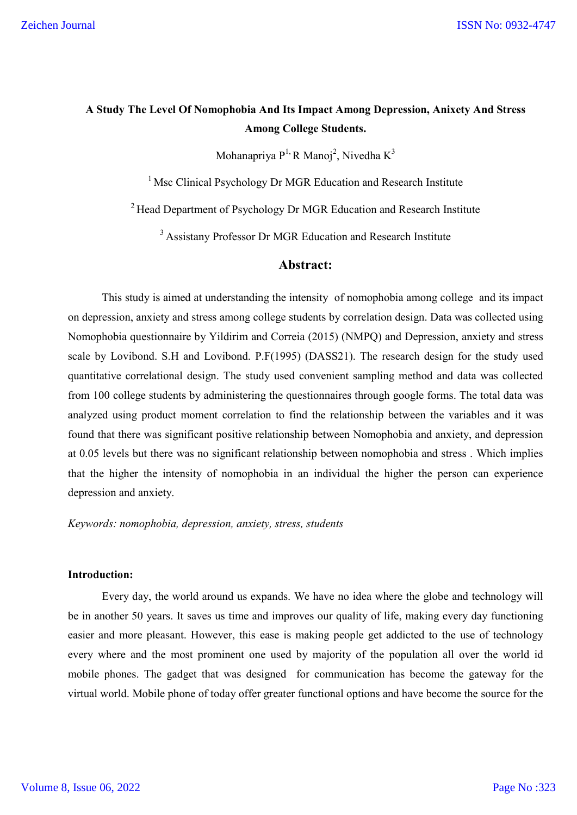# **A Study The Level Of Nomophobia And Its Impact Among Depression, Anixety And Stress Among College Students.**

Mohanapriya  $P^{1}$ , R Manoj<sup>2</sup>, Nivedha K<sup>3</sup>

<sup>1</sup> Msc Clinical Psychology Dr MGR Education and Research Institute

<sup>2</sup> Head Department of Psychology Dr MGR Education and Research Institute

<sup>3</sup> Assistany Professor Dr MGR Education and Research Institute

# **Abstract:**

This study is aimed at understanding the intensity of nomophobia among college and its impact on depression, anxiety and stress among college students by correlation design. Data was collected using Nomophobia questionnaire by Yildirim and Correia (2015) (NMPQ) and Depression, anxiety and stress scale by Lovibond. S.H and Lovibond. P.F(1995) (DASS21). The research design for the study used quantitative correlational design. The study used convenient sampling method and data was collected from 100 college students by administering the questionnaires through google forms. The total data was analyzed using product moment correlation to find the relationship between the variables and it was found that there was significant positive relationship between Nomophobia and anxiety, and depression at 0.05 levels but there was no significant relationship between nomophobia and stress . Which implies that the higher the intensity of nomophobia in an individual the higher the person can experience depression and anxiety.

*Keywords: nomophobia, depression, anxiety, stress, students*

#### **Introduction:**

Every day, the world around us expands. We have no idea where the globe and technology will be in another 50 years. It saves us time and improves our quality of life, making every day functioning easier and more pleasant. However, this ease is making people get addicted to the use of technology every where and the most prominent one used by majority of the population all over the world id mobile phones. The gadget that was designed for communication has become the gateway for the virtual world. Mobile phone of today offer greater functional options and have become the source for the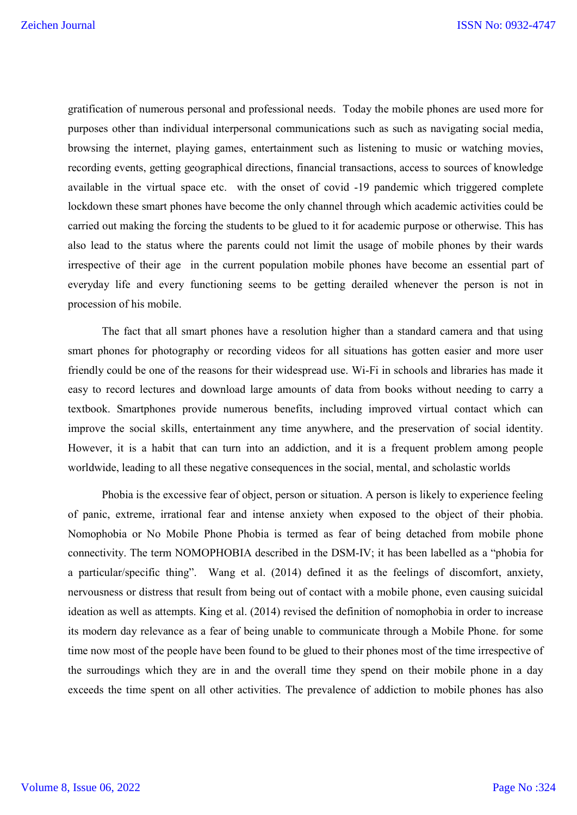gratification of numerous personal and professional needs. Today the mobile phones are used more for purposes other than individual interpersonal communications such as such as navigating social media, browsing the internet, playing games, entertainment such as listening to music or watching movies, recording events, getting geographical directions, financial transactions, access to sources of knowledge available in the virtual space etc. with the onset of covid -19 pandemic which triggered complete lockdown these smart phones have become the only channel through which academic activities could be carried out making the forcing the students to be glued to it for academic purpose or otherwise. This has also lead to the status where the parents could not limit the usage of mobile phones by their wards irrespective of their age in the current population mobile phones have become an essential part of everyday life and every functioning seems to be getting derailed whenever the person is not in procession of his mobile.

The fact that all smart phones have a resolution higher than a standard camera and that using smart phones for photography or recording videos for all situations has gotten easier and more user friendly could be one of the reasons for their widespread use. Wi-Fi in schools and libraries has made it easy to record lectures and download large amounts of data from books without needing to carry a textbook. Smartphones provide numerous benefits, including improved virtual contact which can improve the social skills, entertainment any time anywhere, and the preservation of social identity. However, it is a habit that can turn into an addiction, and it is a frequent problem among people worldwide, leading to all these negative consequences in the social, mental, and scholastic worlds

Phobia is the excessive fear of object, person or situation. A person is likely to experience feeling of panic, extreme, irrational fear and intense anxiety when exposed to the object of their phobia. Nomophobia or No Mobile Phone Phobia is termed as fear of being detached from mobile phone connectivity. The term NOMOPHOBIA described in the DSM-IV; it has been labelled as a "phobia for a particular/specific thing". Wang et al. (2014) defined it as the feelings of discomfort, anxiety, nervousness or distress that result from being out of contact with a mobile phone, even causing suicidal ideation as well as attempts. King et al. (2014) revised the definition of nomophobia in order to increase its modern day relevance as a fear of being unable to communicate through a Mobile Phone. for some time now most of the people have been found to be glued to their phones most of the time irrespective of the surroudings which they are in and the overall time they spend on their mobile phone in a day exceeds the time spent on all other activities. The prevalence of addiction to mobile phones has also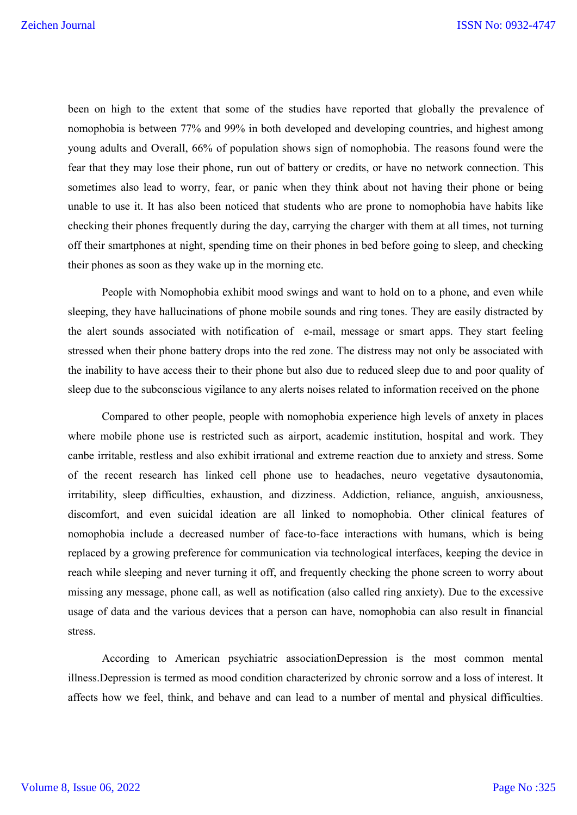been on high to the extent that some of the studies have reported that globally the prevalence of nomophobia is between 77% and 99% in both developed and developing countries, and highest among young adults and Overall, 66% of population shows sign of nomophobia. The reasons found were the fear that they may lose their phone, run out of battery or credits, or have no network connection. This sometimes also lead to worry, fear, or panic when they think about not having their phone or being unable to use it. It has also been noticed that students who are prone to nomophobia have habits like checking their phones frequently during the day, carrying the charger with them at all times, not turning off their smartphones at night, spending time on their phones in bed before going to sleep, and checking their phones as soon as they wake up in the morning etc.

People with Nomophobia exhibit mood swings and want to hold on to a phone, and even while sleeping, they have hallucinations of phone mobile sounds and ring tones. They are easily distracted by the alert sounds associated with notification of e-mail, message or smart apps. They start feeling stressed when their phone battery drops into the red zone. The distress may not only be associated with the inability to have access their to their phone but also due to reduced sleep due to and poor quality of sleep due to the subconscious vigilance to any alerts noises related to information received on the phone

Compared to other people, people with nomophobia experience high levels of anxety in places where mobile phone use is restricted such as airport, academic institution, hospital and work. They canbe irritable, restless and also exhibit irrational and extreme reaction due to anxiety and stress. Some of the recent research has linked cell phone use to headaches, neuro vegetative dysautonomia, irritability, sleep difficulties, exhaustion, and dizziness. Addiction, reliance, anguish, anxiousness, discomfort, and even suicidal ideation are all linked to nomophobia. Other clinical features of nomophobia include a decreased number of face-to-face interactions with humans, which is being replaced by a growing preference for communication via technological interfaces, keeping the device in reach while sleeping and never turning it off, and frequently checking the phone screen to worry about missing any message, phone call, as well as notification (also called ring anxiety). Due to the excessive usage of data and the various devices that a person can have, nomophobia can also result in financial stress.

According to American psychiatric associationDepression is the most common mental illness.Depression is termed as mood condition characterized by chronic sorrow and a loss of interest. It affects how we feel, think, and behave and can lead to a number of mental and physical difficulties.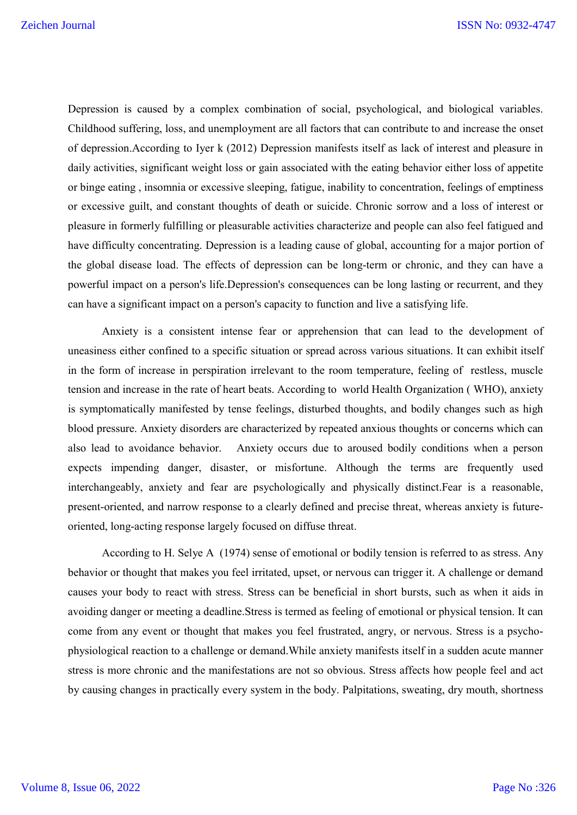Depression is caused by a complex combination of social, psychological, and biological variables. Childhood suffering, loss, and unemployment are all factors that can contribute to and increase the onset of depression.According to Iyer k (2012) Depression manifests itself as lack of interest and pleasure in daily activities, significant weight loss or gain associated with the eating behavior either loss of appetite or binge eating , insomnia or excessive sleeping, fatigue, inability to concentration, feelings of emptiness or excessive guilt, and constant thoughts of death or suicide. Chronic sorrow and a loss of interest or pleasure in formerly fulfilling or pleasurable activities characterize and people can also feel fatigued and have difficulty concentrating. Depression is a leading cause of global, accounting for a major portion of the global disease load. The effects of depression can be long-term or chronic, and they can have a powerful impact on a person's life.Depression's consequences can be long lasting or recurrent, and they can have a significant impact on a person's capacity to function and live a satisfying life.

Anxiety is a consistent intense fear or apprehension that can lead to the development of uneasiness either confined to a specific situation or spread across various situations. It can exhibit itself in the form of increase in perspiration irrelevant to the room temperature, feeling of restless, muscle tension and increase in the rate of heart beats. According to world Health Organization ( WHO), anxiety is symptomatically manifested by tense feelings, disturbed thoughts, and bodily changes such as high blood pressure. Anxiety disorders are characterized by repeated anxious thoughts or concerns which can also lead to avoidance behavior. Anxiety occurs due to aroused bodily conditions when a person expects impending danger, disaster, or misfortune. Although the terms are frequently used interchangeably, anxiety and fear are psychologically and physically distinct.Fear is a reasonable, present-oriented, and narrow response to a clearly defined and precise threat, whereas anxiety is futureoriented, long-acting response largely focused on diffuse threat.

According to H. Selye A (1974) sense of emotional or bodily tension is referred to as stress. Any behavior or thought that makes you feel irritated, upset, or nervous can trigger it. A challenge or demand causes your body to react with stress. Stress can be beneficial in short bursts, such as when it aids in avoiding danger or meeting a deadline.Stress is termed as feeling of emotional or physical tension. It can come from any event or thought that makes you feel frustrated, angry, or nervous. Stress is a psychophysiological reaction to a challenge or demand.While anxiety manifests itself in a sudden acute manner stress is more chronic and the manifestations are not so obvious. Stress affects how people feel and act by causing changes in practically every system in the body. Palpitations, sweating, dry mouth, shortness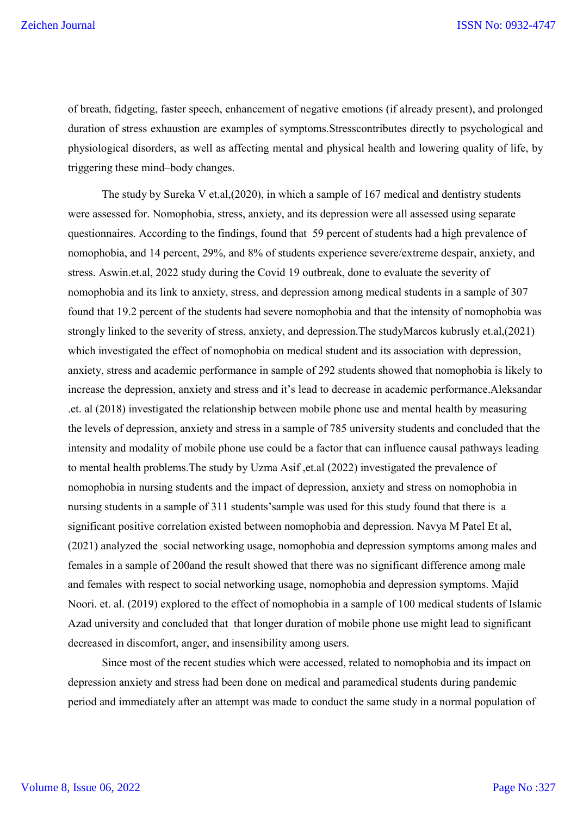of breath, fidgeting, faster speech, enhancement of negative emotions (if already present), and prolonged duration of stress exhaustion are examples of symptoms.Stresscontributes directly to psychological and physiological disorders, as well as affecting mental and physical health and lowering quality of life, by triggering these mind–body changes.

The study by Sureka V et.al,(2020), in which a sample of 167 medical and dentistry students were assessed for. Nomophobia, stress, anxiety, and its depression were all assessed using separate questionnaires. According to the findings, found that 59 percent of students had a high prevalence of nomophobia, and 14 percent, 29%, and 8% of students experience severe/extreme despair, anxiety, and stress. Aswin.et.al, 2022 study during the Covid 19 outbreak, done to evaluate the severity of nomophobia and its link to anxiety, stress, and depression among medical students in a sample of 307 found that 19.2 percent of the students had severe nomophobia and that the intensity of nomophobia was strongly linked to the severity of stress, anxiety, and depression.The studyMarcos kubrusly et.al,(2021) which investigated the effect of nomophobia on medical student and its association with depression, anxiety, stress and academic performance in sample of 292 students showed that nomophobia is likely to increase the depression, anxiety and stress and it's lead to decrease in academic performance.Aleksandar .et. al (2018) investigated the relationship between mobile phone use and mental health by measuring the levels of depression, anxiety and stress in a sample of 785 university students and concluded that the intensity and modality of mobile phone use could be a factor that can influence causal pathways leading to mental health problems.The study by Uzma Asif ,et.al (2022) investigated the prevalence of nomophobia in nursing students and the impact of depression, anxiety and stress on nomophobia in nursing students in a sample of 311 students'sample was used for this study found that there is a significant positive correlation existed between nomophobia and depression. Navya M Patel Et al, (2021) analyzed the social networking usage, nomophobia and depression symptoms among males and females in a sample of 200and the result showed that there was no significant difference among male and females with respect to social networking usage, nomophobia and depression symptoms. Majid Noori. et. al. (2019) explored to the effect of nomophobia in a sample of 100 medical students of Islamic Azad university and concluded that that longer duration of mobile phone use might lead to significant decreased in discomfort, anger, and insensibility among users.

Since most of the recent studies which were accessed, related to nomophobia and its impact on depression anxiety and stress had been done on medical and paramedical students during pandemic period and immediately after an attempt was made to conduct the same study in a normal population of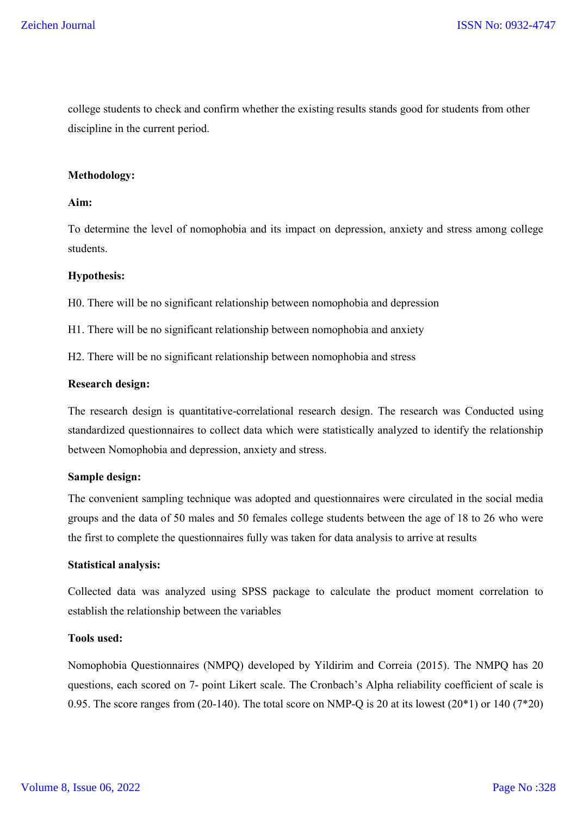college students to check and confirm whether the existing results stands good for students from other discipline in the current period.

#### **Methodology:**

#### **Aim:**

To determine the level of nomophobia and its impact on depression, anxiety and stress among college students.

## **Hypothesis:**

H0. There will be no significant relationship between nomophobia and depression

H1. There will be no significant relationship between nomophobia and anxiety

H2. There will be no significant relationship between nomophobia and stress

#### **Research design:**

The research design is quantitative-correlational research design. The research was Conducted using standardized questionnaires to collect data which were statistically analyzed to identify the relationship between Nomophobia and depression, anxiety and stress.

#### **Sample design:**

The convenient sampling technique was adopted and questionnaires were circulated in the social media groups and the data of 50 males and 50 females college students between the age of 18 to 26 who were the first to complete the questionnaires fully was taken for data analysis to arrive at results

#### **Statistical analysis:**

Collected data was analyzed using SPSS package to calculate the product moment correlation to establish the relationship between the variables

#### **Tools used:**

Nomophobia Questionnaires (NMPQ) developed by Yildirim and Correia (2015). The NMPQ has 20 questions, each scored on 7- point Likert scale. The Cronbach's Alpha reliability coefficient of scale is 0.95. The score ranges from (20-140). The total score on NMP-Q is 20 at its lowest ( $20*1$ ) or 140 ( $7*20$ )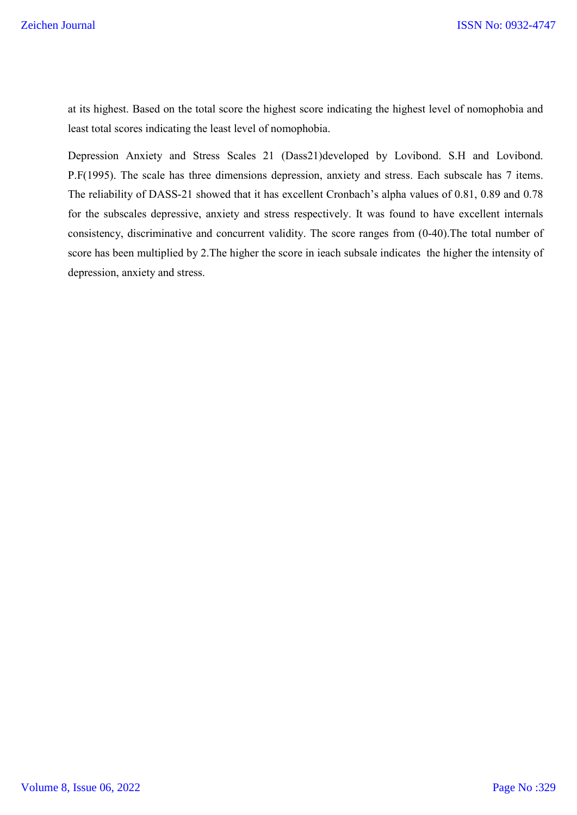at its highest. Based on the total score the highest score indicating the highest level of nomophobia and least total scores indicating the least level of nomophobia.

Depression Anxiety and Stress Scales 21 (Dass21)developed by Lovibond. S.H and Lovibond. P.F(1995). The scale has three dimensions depression, anxiety and stress. Each subscale has 7 items. The reliability of DASS-21 showed that it has excellent Cronbach's alpha values of 0.81, 0.89 and 0.78 for the subscales depressive, anxiety and stress respectively. It was found to have excellent internals consistency, discriminative and concurrent validity. The score ranges from (0-40).The total number of score has been multiplied by 2.The higher the score in ieach subsale indicates the higher the intensity of depression, anxiety and stress.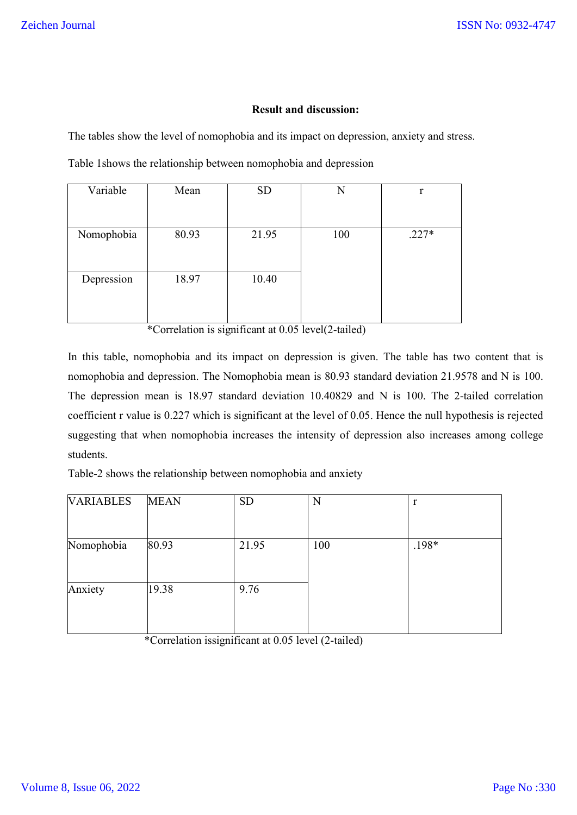## **Result and discussion:**

The tables show the level of nomophobia and its impact on depression, anxiety and stress.

Table 1shows the relationship between nomophobia and depression

| Variable   | Mean  | <b>SD</b> | N   | r       |
|------------|-------|-----------|-----|---------|
|            |       |           |     |         |
|            |       |           |     |         |
| Nomophobia | 80.93 | 21.95     | 100 | $.227*$ |
|            |       |           |     |         |
|            |       |           |     |         |
| Depression | 18.97 | 10.40     |     |         |
|            |       |           |     |         |
|            |       |           |     |         |
|            |       |           |     |         |

\*Correlation is significant at 0.05 level(2-tailed)

In this table, nomophobia and its impact on depression is given. The table has two content that is nomophobia and depression. The Nomophobia mean is 80.93 standard deviation 21.9578 and N is 100. The depression mean is 18.97 standard deviation 10.40829 and N is 100. The 2-tailed correlation coefficient r value is 0.227 which is significant at the level of 0.05. Hence the null hypothesis is rejected suggesting that when nomophobia increases the intensity of depression also increases among college students.

Table-2 shows the relationship between nomophobia and anxiety

| <b>VARIABLES</b> | <b>MEAN</b> | <b>SD</b> | N   | r       |
|------------------|-------------|-----------|-----|---------|
|                  |             |           |     |         |
| Nomophobia       | 80.93       | 21.95     | 100 | $.198*$ |
| Anxiety          | 19.38       | 9.76      |     |         |

\*Correlation issignificant at 0.05 level (2-tailed)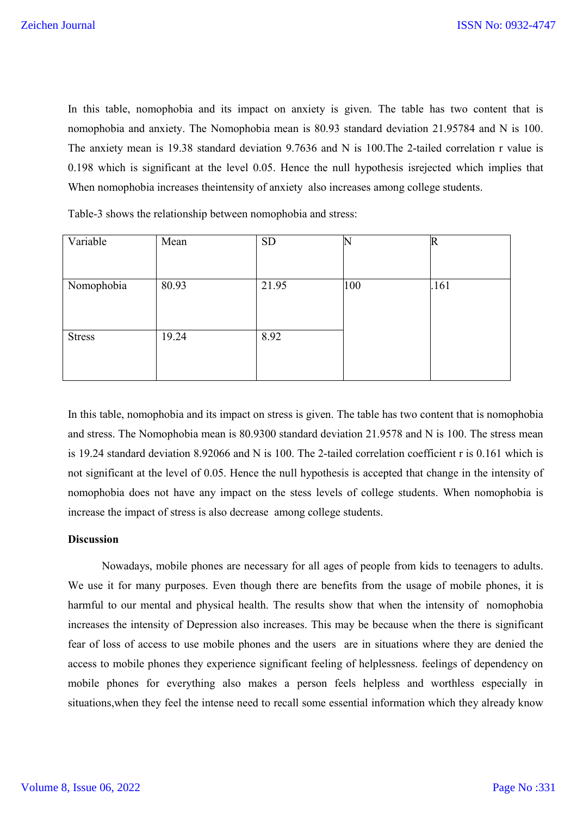In this table, nomophobia and its impact on anxiety is given. The table has two content that is nomophobia and anxiety. The Nomophobia mean is 80.93 standard deviation 21.95784 and N is 100. The anxiety mean is 19.38 standard deviation 9.7636 and N is 100.The 2-tailed correlation r value is 0.198 which is significant at the level 0.05. Hence the null hypothesis isrejected which implies that When nomophobia increases theintensity of anxiety also increases among college students.

Table-3 shows the relationship between nomophobia and stress:

| Variable      | Mean  | <b>SD</b> | N   | $\mathbb R$ |
|---------------|-------|-----------|-----|-------------|
|               |       |           |     |             |
| Nomophobia    | 80.93 | 21.95     | 100 | .161        |
|               |       |           |     |             |
| <b>Stress</b> | 19.24 | 8.92      |     |             |
|               |       |           |     |             |

In this table, nomophobia and its impact on stress is given. The table has two content that is nomophobia and stress. The Nomophobia mean is 80.9300 standard deviation 21.9578 and N is 100. The stress mean is 19.24 standard deviation 8.92066 and N is 100. The 2-tailed correlation coefficient r is 0.161 which is not significant at the level of 0.05. Hence the null hypothesis is accepted that change in the intensity of nomophobia does not have any impact on the stess levels of college students. When nomophobia is increase the impact of stress is also decrease among college students.

### **Discussion**

Nowadays, mobile phones are necessary for all ages of people from kids to teenagers to adults. We use it for many purposes. Even though there are benefits from the usage of mobile phones, it is harmful to our mental and physical health. The results show that when the intensity of nomophobia increases the intensity of Depression also increases. This may be because when the there is significant fear of loss of access to use mobile phones and the users are in situations where they are denied the access to mobile phones they experience significant feeling of helplessness. feelings of dependency on mobile phones for everything also makes a person feels helpless and worthless especially in situations,when they feel the intense need to recall some essential information which they already know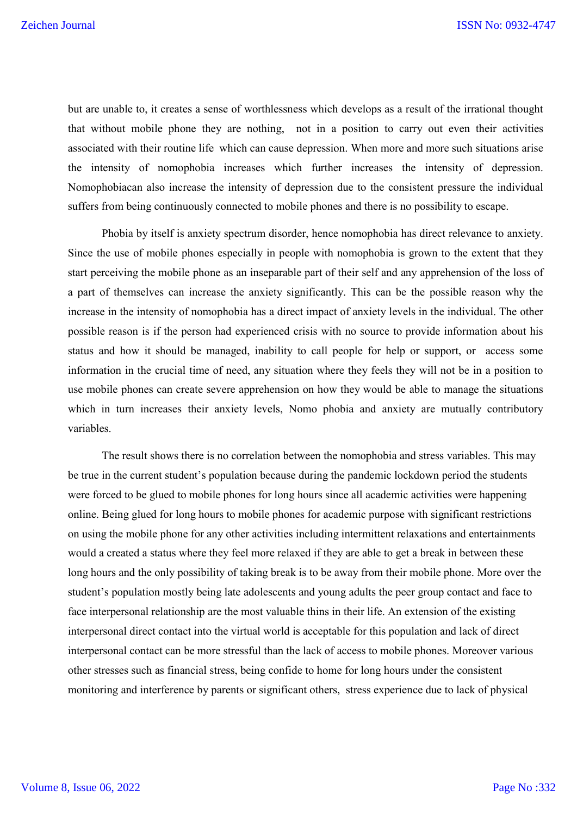but are unable to, it creates a sense of worthlessness which develops as a result of the irrational thought that without mobile phone they are nothing, not in a position to carry out even their activities associated with their routine life which can cause depression. When more and more such situations arise the intensity of nomophobia increases which further increases the intensity of depression. Nomophobiacan also increase the intensity of depression due to the consistent pressure the individual suffers from being continuously connected to mobile phones and there is no possibility to escape.

Phobia by itself is anxiety spectrum disorder, hence nomophobia has direct relevance to anxiety. Since the use of mobile phones especially in people with nomophobia is grown to the extent that they start perceiving the mobile phone as an inseparable part of their self and any apprehension of the loss of a part of themselves can increase the anxiety significantly. This can be the possible reason why the increase in the intensity of nomophobia has a direct impact of anxiety levels in the individual. The other possible reason is if the person had experienced crisis with no source to provide information about his status and how it should be managed, inability to call people for help or support, or access some information in the crucial time of need, any situation where they feels they will not be in a position to use mobile phones can create severe apprehension on how they would be able to manage the situations which in turn increases their anxiety levels, Nomo phobia and anxiety are mutually contributory variables.

The result shows there is no correlation between the nomophobia and stress variables. This may be true in the current student's population because during the pandemic lockdown period the students were forced to be glued to mobile phones for long hours since all academic activities were happening online. Being glued for long hours to mobile phones for academic purpose with significant restrictions on using the mobile phone for any other activities including intermittent relaxations and entertainments would a created a status where they feel more relaxed if they are able to get a break in between these long hours and the only possibility of taking break is to be away from their mobile phone. More over the student's population mostly being late adolescents and young adults the peer group contact and face to face interpersonal relationship are the most valuable thins in their life. An extension of the existing interpersonal direct contact into the virtual world is acceptable for this population and lack of direct interpersonal contact can be more stressful than the lack of access to mobile phones. Moreover various other stresses such as financial stress, being confide to home for long hours under the consistent monitoring and interference by parents or significant others, stress experience due to lack of physical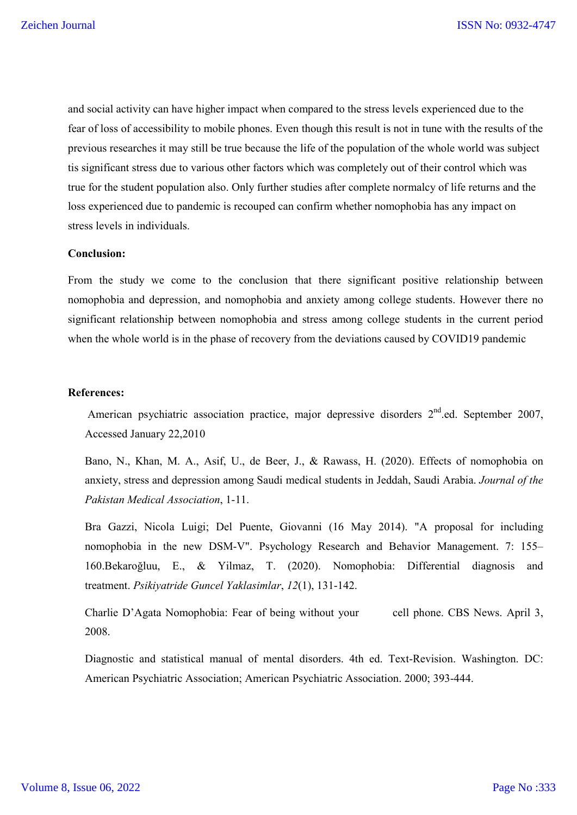and social activity can have higher impact when compared to the stress levels experienced due to the fear of loss of accessibility to mobile phones. Even though this result is not in tune with the results of the previous researches it may still be true because the life of the population of the whole world was subject tis significant stress due to various other factors which was completely out of their control which was true for the student population also. Only further studies after complete normalcy of life returns and the loss experienced due to pandemic is recouped can confirm whether nomophobia has any impact on stress levels in individuals.

#### **Conclusion:**

From the study we come to the conclusion that there significant positive relationship between nomophobia and depression, and nomophobia and anxiety among college students. However there no significant relationship between nomophobia and stress among college students in the current period when the whole world is in the phase of recovery from the deviations caused by COVID19 pandemic

#### **References:**

American psychiatric association practice, major depressive disorders  $2<sup>nd</sup>$  ed. September 2007, Accessed January 22,2010

Bano, N., Khan, M. A., Asif, U., de Beer, J., & Rawass, H. (2020). Effects of nomophobia on anxiety, stress and depression among Saudi medical students in Jeddah, Saudi Arabia. *Journal of the Pakistan Medical Association*, 1-11.

Bra Gazzi, Nicola Luigi; Del Puente, Giovanni (16 May 2014). "A proposal for including nomophobia in the new DSM-V". Psychology Research and Behavior Management. 7: 155– 160.Bekaroğluu, E., & Yilmaz, T. (2020). Nomophobia: Differential diagnosis and treatment. *Psikiyatride Guncel Yaklasimlar*, *12*(1), 131-142.

Charlie D'Agata Nomophobia: Fear of being without your cell phone. CBS News. April 3, 2008.

Diagnostic and statistical manual of mental disorders. 4th ed. Text-Revision. Washington. DC: American Psychiatric Association; American Psychiatric Association. 2000; 393-444.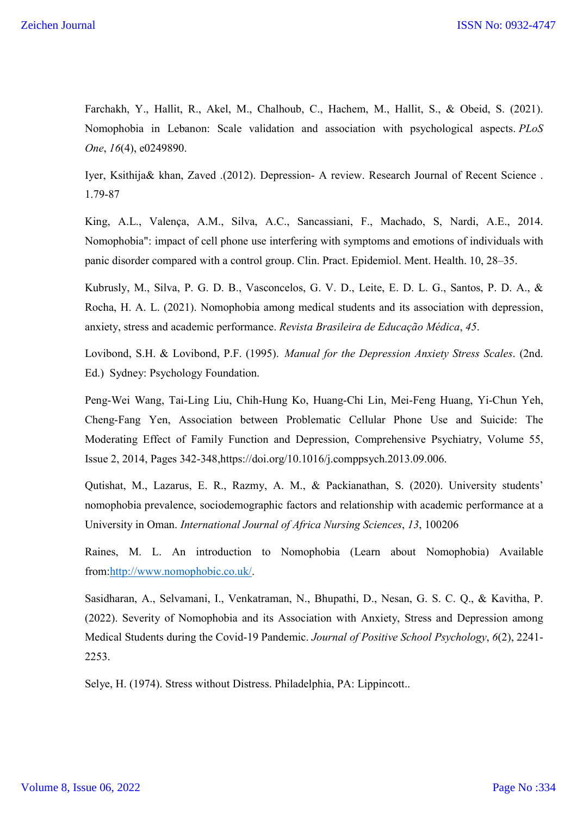Farchakh, Y., Hallit, R., Akel, M., Chalhoub, C., Hachem, M., Hallit, S., & Obeid, S. (2021). Nomophobia in Lebanon: Scale validation and association with psychological aspects. *PLoS One*, *16*(4), e0249890.

Iyer, Ksithija& khan, Zaved .(2012). Depression- A review. Research Journal of Recent Science . 1.79-87

King, A.L., Valença, A.M., Silva, A.C., Sancassiani, F., Machado, S, Nardi, A.E., 2014. Nomophobia": impact of cell phone use interfering with symptoms and emotions of individuals with panic disorder compared with a control group. Clin. Pract. Epidemiol. Ment. Health. 10, 28–35.

Kubrusly, M., Silva, P. G. D. B., Vasconcelos, G. V. D., Leite, E. D. L. G., Santos, P. D. A., & Rocha, H. A. L. (2021). Nomophobia among medical students and its association with depression, anxiety, stress and academic performance. *Revista Brasileira de Educação Médica*, *45*.

Lovibond, S.H. & Lovibond, P.F. (1995). *Manual for the Depression Anxiety Stress Scales*. (2nd. Ed.) Sydney: Psychology Foundation.

Peng-Wei Wang, Tai-Ling Liu, Chih-Hung Ko, Huang-Chi Lin, Mei-Feng Huang, Yi-Chun Yeh, Cheng-Fang Yen, Association between Problematic Cellular Phone Use and Suicide: The Moderating Effect of Family Function and Depression, Comprehensive Psychiatry, Volume 55, Issue 2, 2014, Pages 342-348,https://doi.org/10.1016/j.comppsych.2013.09.006.

Qutishat, M., Lazarus, E. R., Razmy, A. M., & Packianathan, S. (2020). University students' nomophobia prevalence, sociodemographic factors and relationship with academic performance at a University in Oman. *International Journal of Africa Nursing Sciences*, *13*, 100206

Raines, M. L. An introduction to Nomophobia (Learn about Nomophobia) Available from:http://www.nomophobic.co.uk/.

Sasidharan, A., Selvamani, I., Venkatraman, N., Bhupathi, D., Nesan, G. S. C. Q., & Kavitha, P. (2022). Severity of Nomophobia and its Association with Anxiety, Stress and Depression among Medical Students during the Covid-19 Pandemic. *Journal of Positive School Psychology*, *6*(2), 2241- 2253.

Selye, H. (1974). Stress without Distress. Philadelphia, PA: Lippincott..